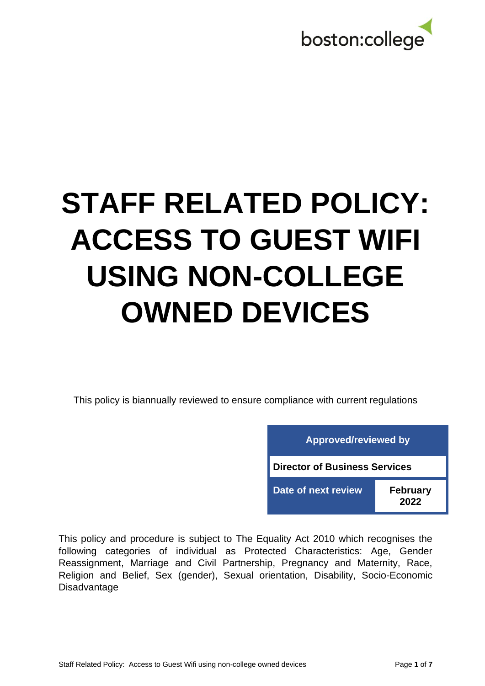

# **STAFF RELATED POLICY: ACCESS TO GUEST WIFI USING NON-COLLEGE OWNED DEVICES**

This policy is biannually reviewed to ensure compliance with current regulations

| <b>Approved/reviewed by</b>          |                         |  |  |  |  |
|--------------------------------------|-------------------------|--|--|--|--|
| <b>Director of Business Services</b> |                         |  |  |  |  |
| Date of next review                  | <b>February</b><br>2022 |  |  |  |  |

This policy and procedure is subject to The Equality Act 2010 which recognises the following categories of individual as Protected Characteristics: Age, Gender Reassignment, Marriage and Civil Partnership, Pregnancy and Maternity, Race, Religion and Belief, Sex (gender), Sexual orientation, Disability, Socio-Economic **Disadvantage**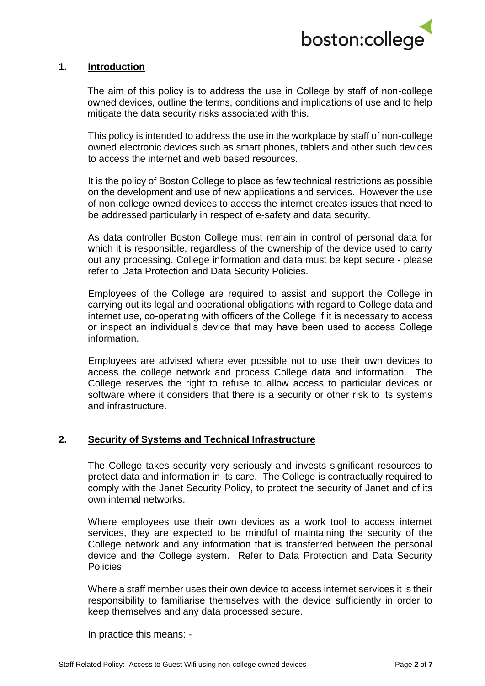

## **1. Introduction**

The aim of this policy is to address the use in College by staff of non-college owned devices, outline the terms, conditions and implications of use and to help mitigate the data security risks associated with this.

This policy is intended to address the use in the workplace by staff of non-college owned electronic devices such as smart phones, tablets and other such devices to access the internet and web based resources.

It is the policy of Boston College to place as few technical restrictions as possible on the development and use of new applications and services. However the use of non-college owned devices to access the internet creates issues that need to be addressed particularly in respect of e-safety and data security.

As data controller Boston College must remain in control of personal data for which it is responsible, regardless of the ownership of the device used to carry out any processing. College information and data must be kept secure - please refer to Data Protection and Data Security Policies.

Employees of the College are required to assist and support the College in carrying out its legal and operational obligations with regard to College data and internet use, co-operating with officers of the College if it is necessary to access or inspect an individual's device that may have been used to access College information.

Employees are advised where ever possible not to use their own devices to access the college network and process College data and information. The College reserves the right to refuse to allow access to particular devices or software where it considers that there is a security or other risk to its systems and infrastructure.

# **2. Security of Systems and Technical Infrastructure**

The College takes security very seriously and invests significant resources to protect data and information in its care. The College is contractually required to comply with the Janet Security Policy, to protect the security of Janet and of its own internal networks.

Where employees use their own devices as a work tool to access internet services, they are expected to be mindful of maintaining the security of the College network and any information that is transferred between the personal device and the College system. Refer to Data Protection and Data Security Policies.

Where a staff member uses their own device to access internet services it is their responsibility to familiarise themselves with the device sufficiently in order to keep themselves and any data processed secure.

In practice this means: -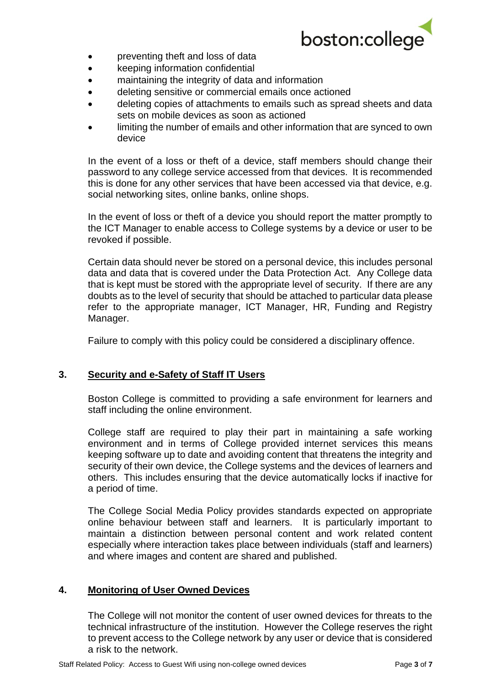

- preventing theft and loss of data
- keeping information confidential
- maintaining the integrity of data and information
- deleting sensitive or commercial emails once actioned
- deleting copies of attachments to emails such as spread sheets and data sets on mobile devices as soon as actioned
- limiting the number of emails and other information that are synced to own device

In the event of a loss or theft of a device, staff members should change their password to any college service accessed from that devices. It is recommended this is done for any other services that have been accessed via that device, e.g. social networking sites, online banks, online shops.

In the event of loss or theft of a device you should report the matter promptly to the ICT Manager to enable access to College systems by a device or user to be revoked if possible.

Certain data should never be stored on a personal device, this includes personal data and data that is covered under the Data Protection Act. Any College data that is kept must be stored with the appropriate level of security. If there are any doubts as to the level of security that should be attached to particular data please refer to the appropriate manager, ICT Manager, HR, Funding and Registry Manager.

Failure to comply with this policy could be considered a disciplinary offence.

# **3. Security and e-Safety of Staff IT Users**

Boston College is committed to providing a safe environment for learners and staff including the online environment.

College staff are required to play their part in maintaining a safe working environment and in terms of College provided internet services this means keeping software up to date and avoiding content that threatens the integrity and security of their own device, the College systems and the devices of learners and others. This includes ensuring that the device automatically locks if inactive for a period of time.

The College Social Media Policy provides standards expected on appropriate online behaviour between staff and learners. It is particularly important to maintain a distinction between personal content and work related content especially where interaction takes place between individuals (staff and learners) and where images and content are shared and published.

#### **4. Monitoring of User Owned Devices**

The College will not monitor the content of user owned devices for threats to the technical infrastructure of the institution. However the College reserves the right to prevent access to the College network by any user or device that is considered a risk to the network.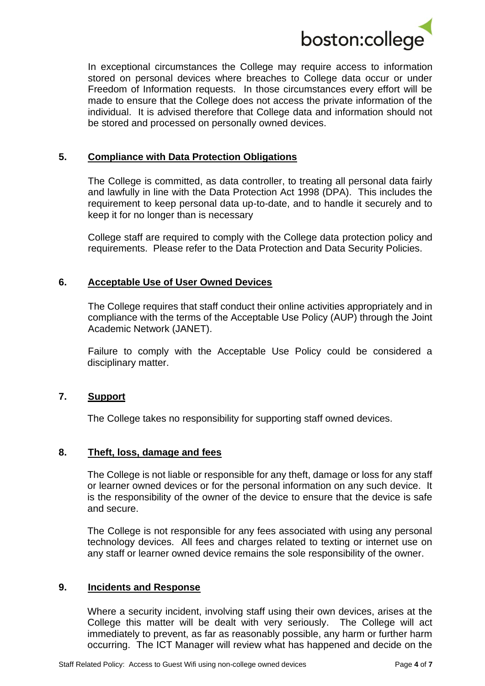

In exceptional circumstances the College may require access to information stored on personal devices where breaches to College data occur or under Freedom of Information requests. In those circumstances every effort will be made to ensure that the College does not access the private information of the individual. It is advised therefore that College data and information should not be stored and processed on personally owned devices.

# **5. Compliance with Data Protection Obligations**

The College is committed, as data controller, to treating all personal data fairly and lawfully in line with the Data Protection Act 1998 (DPA). This includes the requirement to keep personal data up-to-date, and to handle it securely and to keep it for no longer than is necessary

College staff are required to comply with the College data protection policy and requirements. Please refer to the Data Protection and Data Security Policies.

## **6. Acceptable Use of User Owned Devices**

The College requires that staff conduct their online activities appropriately and in compliance with the terms of the Acceptable Use Policy (AUP) through the Joint Academic Network (JANET).

Failure to comply with the Acceptable Use Policy could be considered a disciplinary matter.

#### **7. Support**

The College takes no responsibility for supporting staff owned devices.

## **8. Theft, loss, damage and fees**

The College is not liable or responsible for any theft, damage or loss for any staff or learner owned devices or for the personal information on any such device. It is the responsibility of the owner of the device to ensure that the device is safe and secure.

The College is not responsible for any fees associated with using any personal technology devices. All fees and charges related to texting or internet use on any staff or learner owned device remains the sole responsibility of the owner.

#### **9. Incidents and Response**

Where a security incident, involving staff using their own devices, arises at the College this matter will be dealt with very seriously. The College will act immediately to prevent, as far as reasonably possible, any harm or further harm occurring. The ICT Manager will review what has happened and decide on the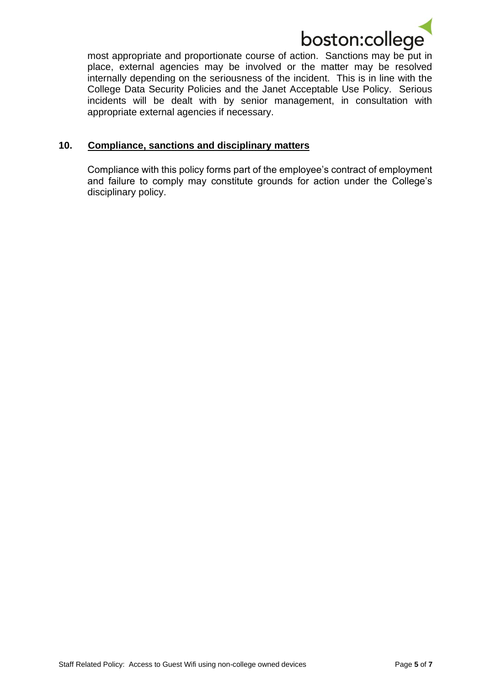

most appropriate and proportionate course of action. Sanctions may be put in place, external agencies may be involved or the matter may be resolved internally depending on the seriousness of the incident. This is in line with the College Data Security Policies and the Janet Acceptable Use Policy. Serious incidents will be dealt with by senior management, in consultation with appropriate external agencies if necessary.

## **10. Compliance, sanctions and disciplinary matters**

Compliance with this policy forms part of the employee's contract of employment and failure to comply may constitute grounds for action under the College's disciplinary policy.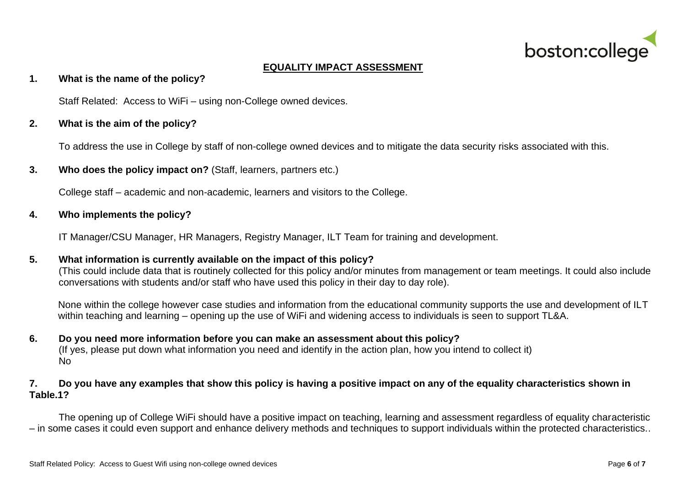

# **EQUALITY IMPACT ASSESSMENT**

#### **1. What is the name of the policy?**

Staff Related: Access to WiFi – using non-College owned devices.

### **2. What is the aim of the policy?**

To address the use in College by staff of non-college owned devices and to mitigate the data security risks associated with this.

**3. Who does the policy impact on?** (Staff, learners, partners etc.)

College staff – academic and non-academic, learners and visitors to the College.

## **4. Who implements the policy?**

IT Manager/CSU Manager, HR Managers, Registry Manager, ILT Team for training and development.

# **5. What information is currently available on the impact of this policy?**

(This could include data that is routinely collected for this policy and/or minutes from management or team meetings. It could also include conversations with students and/or staff who have used this policy in their day to day role).

None within the college however case studies and information from the educational community supports the use and development of ILT within teaching and learning – opening up the use of WiFi and widening access to individuals is seen to support TL&A.

#### **6. Do you need more information before you can make an assessment about this policy?**  (If yes, please put down what information you need and identify in the action plan, how you intend to collect it) No

## **7. Do you have any examples that show this policy is having a positive impact on any of the equality characteristics shown in Table.1?**

The opening up of College WiFi should have a positive impact on teaching, learning and assessment regardless of equality characteristic – in some cases it could even support and enhance delivery methods and techniques to support individuals within the protected characteristics..